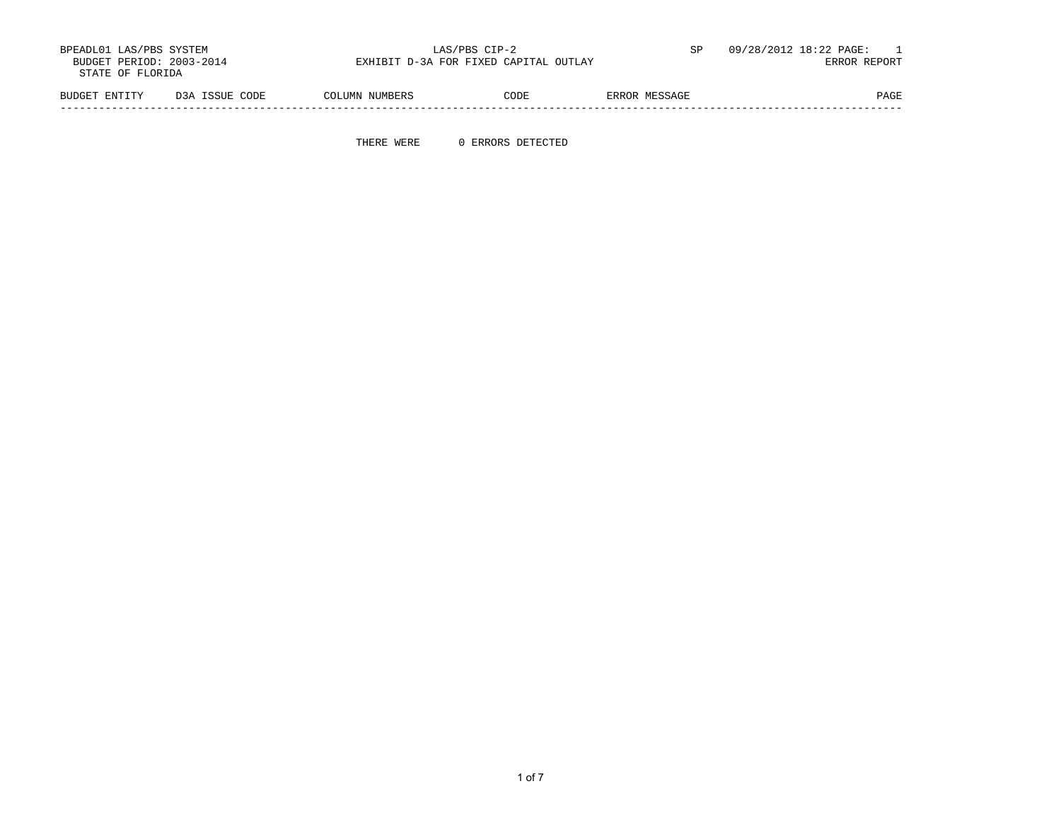| BPEADL01 LAS/PBS SYSTEM<br>BUDGET PERIOD: 2003-2014<br>STATE OF FLORIDA |                | LAS/PBS CIP-2<br>EXHIBIT D-3A FOR FIXED CAPITAL OUTLAY |      | SP            | 09/28/2012 18:22 PAGE:<br>ERROR REPORT |
|-------------------------------------------------------------------------|----------------|--------------------------------------------------------|------|---------------|----------------------------------------|
| BUDGET ENTITY                                                           | D3A ISSUE CODE | COLUMN NUMBERS                                         | CODE | ERROR MESSAGE | PAGE                                   |

THERE WERE 0 ERRORS DETECTED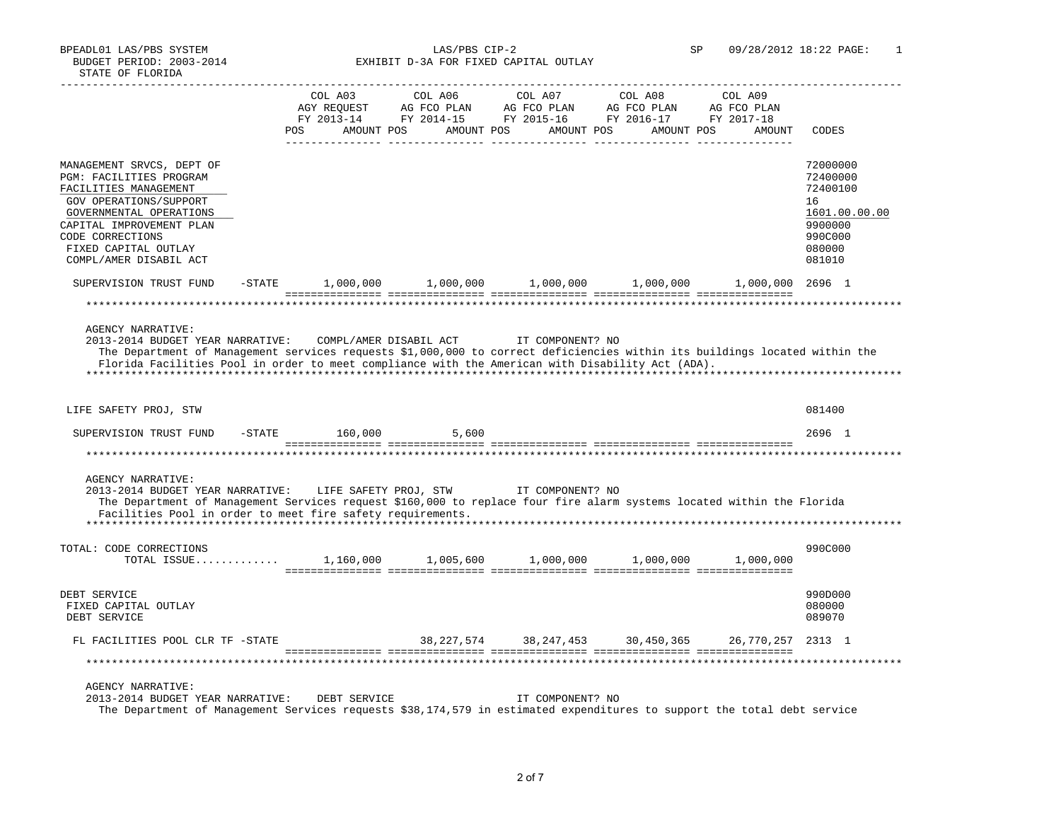BPEADL01 LAS/PBS SYSTEM LAS/PBS CIP-2 SP 09/28/2012 18:22 PAGE: 1 BUDGET PERIOD: 2003-2014 EXHIBIT D-3A FOR FIXED CAPITAL OUTLAY

|                                                                                                                                                                                                                                                                                            | COL A03           | COL A06                 | COL A07                                     | COL A08   | COL A09           |                                        |
|--------------------------------------------------------------------------------------------------------------------------------------------------------------------------------------------------------------------------------------------------------------------------------------------|-------------------|-------------------------|---------------------------------------------|-----------|-------------------|----------------------------------------|
|                                                                                                                                                                                                                                                                                            |                   |                         |                                             |           |                   |                                        |
|                                                                                                                                                                                                                                                                                            | <b>POS</b>        |                         | AMOUNT POS AMOUNT POS AMOUNT POS AMOUNT POS |           | AMOUNT            | CODES                                  |
| MANAGEMENT SRVCS, DEPT OF<br><b>PGM: FACILITIES PROGRAM</b><br>FACILITIES MANAGEMENT<br>GOV OPERATIONS/SUPPORT                                                                                                                                                                             |                   |                         |                                             |           |                   | 72000000<br>72400000<br>72400100<br>16 |
| GOVERNMENTAL OPERATIONS<br>CAPITAL IMPROVEMENT PLAN<br>CODE CORRECTIONS                                                                                                                                                                                                                    |                   |                         |                                             |           |                   | 1601.00.00.00<br>9900000<br>990C000    |
| FIXED CAPITAL OUTLAY<br>COMPL/AMER DISABIL ACT                                                                                                                                                                                                                                             |                   |                         |                                             |           |                   | 080000<br>081010                       |
| SUPERVISION TRUST FUND                                                                                                                                                                                                                                                                     | $-STATE$          | $1,000,000$ $1,000,000$ | 1,000,000                                   | 1,000,000 | 1,000,000 2696 1  |                                        |
|                                                                                                                                                                                                                                                                                            |                   |                         |                                             |           |                   |                                        |
|                                                                                                                                                                                                                                                                                            |                   |                         |                                             |           |                   |                                        |
| <b>AGENCY NARRATIVE:</b><br>2013-2014 BUDGET YEAR NARRATIVE: COMPL/AMER DISABIL ACT TT COMPONENT? NO                                                                                                                                                                                       |                   |                         |                                             |           |                   |                                        |
| The Department of Management services requests \$1,000,000 to correct deficiencies within its buildings located within the                                                                                                                                                                 |                   |                         |                                             |           |                   |                                        |
| Florida Facilities Pool in order to meet compliance with the American with Disability Act (ADA).                                                                                                                                                                                           |                   |                         |                                             |           |                   |                                        |
|                                                                                                                                                                                                                                                                                            |                   |                         |                                             |           |                   |                                        |
| LIFE SAFETY PROJ, STW                                                                                                                                                                                                                                                                      |                   |                         |                                             |           |                   | 081400                                 |
| SUPERVISION TRUST FUND                                                                                                                                                                                                                                                                     | $-$ STATE 160,000 | 5,600                   |                                             |           |                   | 2696 1                                 |
|                                                                                                                                                                                                                                                                                            |                   |                         |                                             |           |                   |                                        |
| <b>AGENCY NARRATIVE:</b><br>2013-2014 BUDGET YEAR NARRATIVE: LIFE SAFETY PROJ, STW TT COMPONENT? NO<br>The Department of Management Services request \$160,000 to replace four fire alarm systems located within the Florida<br>Facilities Pool in order to meet fire safety requirements. |                   |                         |                                             |           |                   |                                        |
| TOTAL: CODE CORRECTIONS<br>TOTAL ISSUE                                                                                                                                                                                                                                                     |                   | 1,160,000 1,005,600     | 1,000,000                                   | 1,000,000 | 1,000,000         | 990C000                                |
|                                                                                                                                                                                                                                                                                            |                   |                         |                                             |           |                   |                                        |
| DEBT SERVICE<br>FIXED CAPITAL OUTLAY<br>DEBT SERVICE                                                                                                                                                                                                                                       |                   |                         |                                             |           |                   | 990D000<br>080000<br>089070            |
| FL FACILITIES POOL CLR TF -STATE                                                                                                                                                                                                                                                           |                   |                         | 38,227,574 38,247,453 30,450,365            |           | 26,770,257 2313 1 |                                        |
|                                                                                                                                                                                                                                                                                            |                   |                         |                                             |           |                   |                                        |
| <b>AGENCY NARRATIVE:</b><br>2013-2014 BUDGET YEAR NARRATIVE: DEBT SERVICE<br>The Department of Management Services requests \$38,174,579 in estimated expenditures to support the total debt service                                                                                       |                   |                         | IT COMPONENT? NO                            |           |                   |                                        |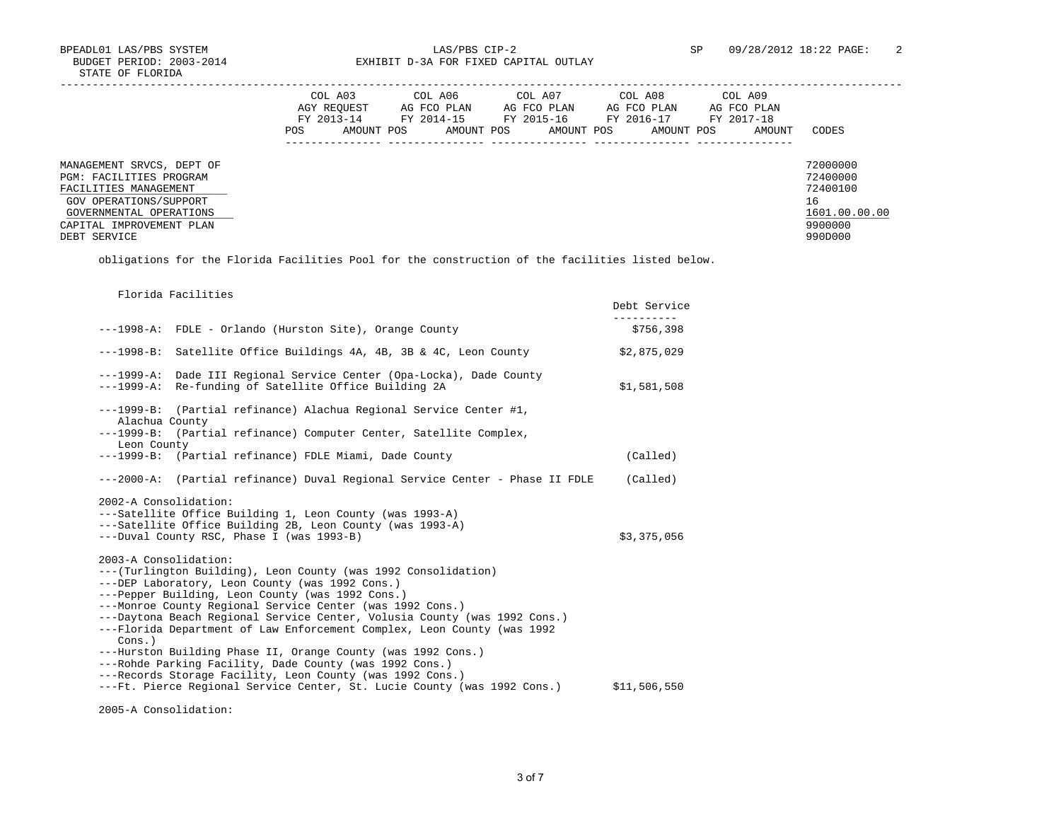BPEADL01 LAS/PBS SYSTEM LAS/PBS CIP-2 <br>BUDGET PERIOD: 2003-2014 EXHIBIT D-3A FOR FIXED CAPITAL OUTLAY SP 09/28/2012 18:22 PAGE: 2 EXHIBIT D-3A FOR FIXED CAPITAL OUTLAY

|                                                                                                                                    | COL A03<br>AGY REOUEST<br>FY 2013-14<br>AMOUNT POS<br>POS. | COL A06<br>AG FCO PLAN<br>FY 2014-15<br>AMOUNT POS | COL A07<br>AG FCO PLAN<br>FY 2015-16<br>AMOUNT POS | COL A08<br>AG FCO PLAN<br>FY 2016-17<br>AMOUNT POS | COL A09<br>AG FCO PLAN<br>FY 2017-18<br>AMOUNT | CODES                                                   |
|------------------------------------------------------------------------------------------------------------------------------------|------------------------------------------------------------|----------------------------------------------------|----------------------------------------------------|----------------------------------------------------|------------------------------------------------|---------------------------------------------------------|
| MANAGEMENT SRVCS, DEPT OF<br>PGM: FACILITIES PROGRAM<br>FACILITIES MANAGEMENT<br>GOV OPERATIONS/SUPPORT<br>GOVERNMENTAL OPERATIONS |                                                            |                                                    |                                                    |                                                    |                                                | 72000000<br>72400000<br>72400100<br>16<br>1601.00.00.00 |
| CAPITAL IMPROVEMENT PLAN<br>DEBT SERVICE                                                                                           |                                                            |                                                    |                                                    |                                                    |                                                | 9900000<br>990D000                                      |

obligations for the Florida Facilities Pool for the construction of the facilities listed below.

| Florida Facilities                                                                                                                                                                                                                                                                                                                                                                                                                                                                                                                                           | Debt Service |
|--------------------------------------------------------------------------------------------------------------------------------------------------------------------------------------------------------------------------------------------------------------------------------------------------------------------------------------------------------------------------------------------------------------------------------------------------------------------------------------------------------------------------------------------------------------|--------------|
| ---1998-A: FDLE - Orlando (Hurston Site), Orange County                                                                                                                                                                                                                                                                                                                                                                                                                                                                                                      | \$756,398    |
| ---1998-B: Satellite Office Buildings 4A, 4B, 3B & 4C, Leon County                                                                                                                                                                                                                                                                                                                                                                                                                                                                                           | \$2,875,029  |
| ---1999-A: Dade III Regional Service Center (Opa-Locka), Dade County<br>---1999-A: Re-funding of Satellite Office Building 2A                                                                                                                                                                                                                                                                                                                                                                                                                                | \$1,581,508  |
| $---1999-B:$<br>(Partial refinance) Alachua Regional Service Center #1,<br>Alachua County                                                                                                                                                                                                                                                                                                                                                                                                                                                                    |              |
| $---1999-B:$<br>(Partial refinance) Computer Center, Satellite Complex,<br>Leon County                                                                                                                                                                                                                                                                                                                                                                                                                                                                       |              |
| ---1999-B: (Partial refinance) FDLE Miami, Dade County                                                                                                                                                                                                                                                                                                                                                                                                                                                                                                       | (Called)     |
| (Partial refinance) Duval Regional Service Center - Phase II FDLE<br>$---2000 - A:$                                                                                                                                                                                                                                                                                                                                                                                                                                                                          | (Called)     |
| ---Satellite Office Building 2B, Leon County (was 1993-A)<br>---Duval County RSC, Phase I (was 1993-B)                                                                                                                                                                                                                                                                                                                                                                                                                                                       | \$3,375,056  |
| 2003-A Consolidation:<br>--- (Turlington Building), Leon County (was 1992 Consolidation)<br>---DEP Laboratory, Leon County (was 1992 Cons.)<br>---Pepper Building, Leon County (was 1992 Cons.)<br>---Monroe County Regional Service Center (was 1992 Cons.)<br>---Daytona Beach Regional Service Center, Volusia County (was 1992 Cons.)<br>---Florida Department of Law Enforcement Complex, Leon County (was 1992<br>$Cons.$ )<br>---Hurston Building Phase II, Orange County (was 1992 Cons.)<br>---Rohde Parking Facility, Dade County (was 1992 Cons.) |              |
| ---Records Storage Facility, Leon County (was 1992 Cons.)<br>---Ft. Pierce Regional Service Center, St. Lucie County (was 1992 Cons.)                                                                                                                                                                                                                                                                                                                                                                                                                        | \$11,506,550 |
| 2005-A Consolidation:                                                                                                                                                                                                                                                                                                                                                                                                                                                                                                                                        |              |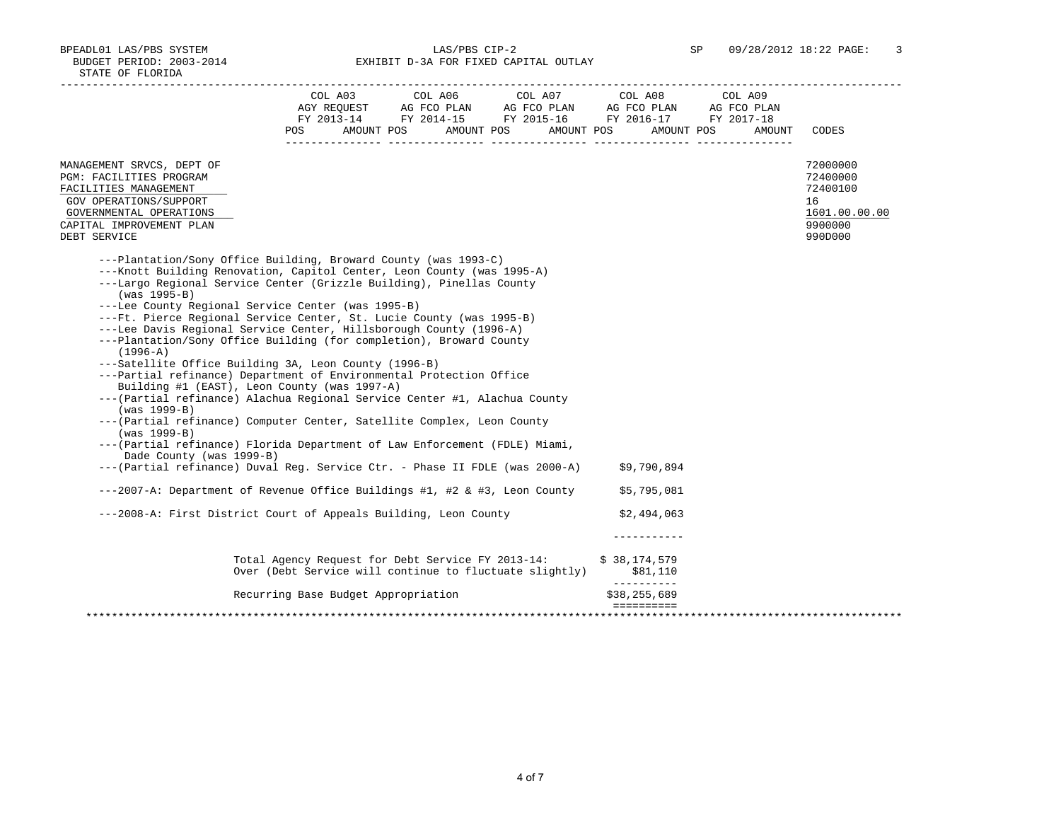BPEADL01 LAS/PBS SYSTEM LAS/PBS CIP-2 SP 09/28/2012 18:22 PAGE: 3 BUDGET PERIOD: 2003-2014 EXHIBIT D-3A FOR FIXED CAPITAL OUTLAY

|                                                                                                                                                                                                                                                                                                                                                                                                                                                                                                                                                                                                                                                                                                                                                                                                                                                                                                                                                                                                                                                                                                      | POS FOR THE POST OF THE STATE STATE STATE STATE STATE STATE STATE STATE STATE STATE STATE STATE STATE STATE ST | AMOUNT POS AMOUNT POS | $\begin{tabular}{lcccc} COL A03 & COL A06 & COL A07 & COL A08 & COL A09 \\ AGY REQUEST & AG FCO PLAN & AG FCO PLAN & AG FCO PLAN & AG FCO PLAN \\ \end{tabular}$<br>FY 2013-14 FY 2014-15 FY 2015-16 FY 2016-17 FY 2017-18<br>AMOUNT POS AMOUNT POS | AMOUNT | CODES                                                                         |
|------------------------------------------------------------------------------------------------------------------------------------------------------------------------------------------------------------------------------------------------------------------------------------------------------------------------------------------------------------------------------------------------------------------------------------------------------------------------------------------------------------------------------------------------------------------------------------------------------------------------------------------------------------------------------------------------------------------------------------------------------------------------------------------------------------------------------------------------------------------------------------------------------------------------------------------------------------------------------------------------------------------------------------------------------------------------------------------------------|----------------------------------------------------------------------------------------------------------------|-----------------------|-----------------------------------------------------------------------------------------------------------------------------------------------------------------------------------------------------------------------------------------------------|--------|-------------------------------------------------------------------------------|
| MANAGEMENT SRVCS, DEPT OF<br>PGM: FACILITIES PROGRAM<br>FACILITIES MANAGEMENT<br>GOV OPERATIONS/SUPPORT<br>GOVERNMENTAL OPERATIONS<br>CAPITAL IMPROVEMENT PLAN<br>DEBT SERVICE                                                                                                                                                                                                                                                                                                                                                                                                                                                                                                                                                                                                                                                                                                                                                                                                                                                                                                                       |                                                                                                                |                       |                                                                                                                                                                                                                                                     |        | 72000000<br>72400000<br>72400100<br>16<br>1601.00.00.00<br>9900000<br>990D000 |
| ---Plantation/Sony Office Building, Broward County (was 1993-C)<br>---Knott Building Renovation, Capitol Center, Leon County (was 1995-A)<br>---Largo Regional Service Center (Grizzle Building), Pinellas County<br>$(was 1995-B)$<br>---Lee County Regional Service Center (was 1995-B)<br>---Ft. Pierce Regional Service Center, St. Lucie County (was 1995-B)<br>---Lee Davis Regional Service Center, Hillsborough County (1996-A)<br>---Plantation/Sony Office Building (for completion), Broward County<br>$(1996 - A)$<br>---Satellite Office Building 3A, Leon County (1996-B)<br>---Partial refinance) Department of Environmental Protection Office<br>Building #1 (EAST), Leon County (was 1997-A)<br>--- (Partial refinance) Alachua Regional Service Center #1, Alachua County<br>(was 1999-B)<br>--- (Partial refinance) Computer Center, Satellite Complex, Leon County<br>$(was 1999-B)$<br>--- (Partial refinance) Florida Department of Law Enforcement (FDLE) Miami,<br>Dade County (was 1999-B)<br>--- (Partial refinance) Duval Reg. Service Ctr. - Phase II FDLE (was 2000-A) |                                                                                                                |                       | \$9,790,894                                                                                                                                                                                                                                         |        |                                                                               |
| ---2007-A: Department of Revenue Office Buildings #1, #2 & #3, Leon County                                                                                                                                                                                                                                                                                                                                                                                                                                                                                                                                                                                                                                                                                                                                                                                                                                                                                                                                                                                                                           |                                                                                                                |                       | \$5,795,081                                                                                                                                                                                                                                         |        |                                                                               |
| ---2008-A: First District Court of Appeals Building, Leon County                                                                                                                                                                                                                                                                                                                                                                                                                                                                                                                                                                                                                                                                                                                                                                                                                                                                                                                                                                                                                                     |                                                                                                                |                       | \$2,494,063                                                                                                                                                                                                                                         |        |                                                                               |
|                                                                                                                                                                                                                                                                                                                                                                                                                                                                                                                                                                                                                                                                                                                                                                                                                                                                                                                                                                                                                                                                                                      | Total Agency Request for Debt Service FY 2013-14:<br>Over (Debt Service will continue to fluctuate slightly)   |                       | \$38,174,579<br>\$81,110<br>-----------                                                                                                                                                                                                             |        |                                                                               |
|                                                                                                                                                                                                                                                                                                                                                                                                                                                                                                                                                                                                                                                                                                                                                                                                                                                                                                                                                                                                                                                                                                      |                                                                                                                |                       |                                                                                                                                                                                                                                                     |        |                                                                               |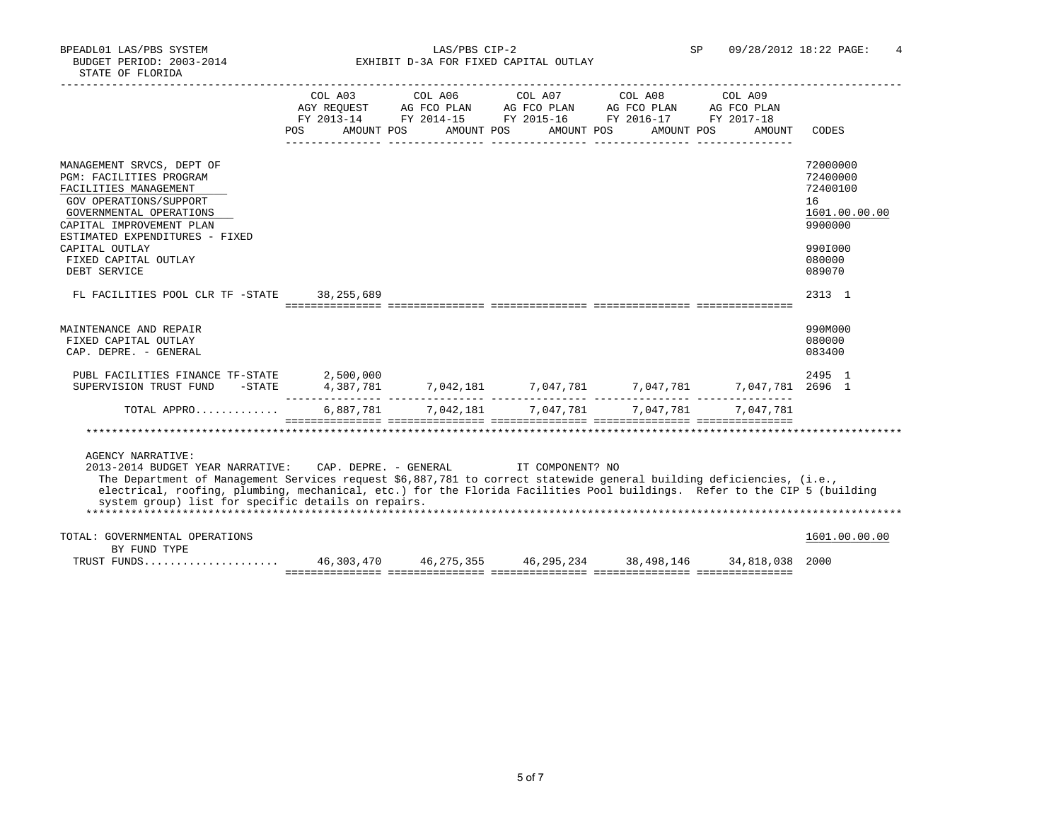BPEADL01 LAS/PBS SYSTEM LAS/PBS CIP-2 SP 09/28/2012 18:22 PAGE: 4 BUDGET PERIOD: 2003-2014 EXHIBIT D-3A FOR FIXED CAPITAL OUTLAY

|                                                                                                                                                                                                                                                                                                                                                                                                                                                                                             |  |  |  |  |  |  |  | POS AMOUNT POS AMOUNT POS AMOUNT POS AMOUNT POS | COL A03 COL A06 COL A07 COL A08 COL A09<br>AMOUNT     |    | CODES                                                        |
|---------------------------------------------------------------------------------------------------------------------------------------------------------------------------------------------------------------------------------------------------------------------------------------------------------------------------------------------------------------------------------------------------------------------------------------------------------------------------------------------|--|--|--|--|--|--|--|-------------------------------------------------|-------------------------------------------------------|----|--------------------------------------------------------------|
| MANAGEMENT SRVCS, DEPT OF<br><b>PGM: FACILITIES PROGRAM</b><br>FACILITIES MANAGEMENT<br>GOV OPERATIONS/SUPPORT<br>GOVERNMENTAL OPERATIONS<br>CAPITAL IMPROVEMENT PLAN<br>ESTIMATED EXPENDITURES - FIXED                                                                                                                                                                                                                                                                                     |  |  |  |  |  |  |  |                                                 |                                                       | 16 | 72000000<br>72400000<br>72400100<br>1601.00.00.00<br>9900000 |
| CAPITAL OUTLAY<br>FIXED CAPITAL OUTLAY<br>DEBT SERVICE                                                                                                                                                                                                                                                                                                                                                                                                                                      |  |  |  |  |  |  |  |                                                 |                                                       |    | 990I000<br>080000<br>089070                                  |
| FL FACILITIES POOL CLR TF -STATE 38,255,689                                                                                                                                                                                                                                                                                                                                                                                                                                                 |  |  |  |  |  |  |  |                                                 |                                                       |    | 2313 1                                                       |
| MAINTENANCE AND REPAIR<br>FIXED CAPITAL OUTLAY<br>CAP. DEPRE. - GENERAL<br>PUBL FACILITIES FINANCE TF-STATE 2,500,000                                                                                                                                                                                                                                                                                                                                                                       |  |  |  |  |  |  |  |                                                 |                                                       |    | 990M000<br>080000<br>083400<br>2495 1                        |
| SUPERVISION TRUST FUND -STATE 4,387,781 7,042,181 7,047,781 7,047,781 7,047,781 7,047,781 2696 1                                                                                                                                                                                                                                                                                                                                                                                            |  |  |  |  |  |  |  |                                                 |                                                       |    |                                                              |
| TOTAL APPRO                                                                                                                                                                                                                                                                                                                                                                                                                                                                                 |  |  |  |  |  |  |  |                                                 | 6,887,781  7,042,181  7,047,781  7,047,781  7,047,781 |    |                                                              |
| <u> socologologo cologologologo cologologologo cologologologo cologologologo</u><br>AGENCY NARRATIVE:<br>2013-2014 BUDGET YEAR NARRATIVE: CAP. DEPRE. - GENERAL IT COMPONENT? NO<br>The Department of Management Services request \$6,887,781 to correct statewide general building deficiencies, (i.e.,<br>electrical, roofing, plumbing, mechanical, etc.) for the Florida Facilities Pool buildings. Refer to the CIP 5 (building<br>system group) list for specific details on repairs. |  |  |  |  |  |  |  |                                                 |                                                       |    |                                                              |
| TOTAL: GOVERNMENTAL OPERATIONS                                                                                                                                                                                                                                                                                                                                                                                                                                                              |  |  |  |  |  |  |  |                                                 |                                                       |    | 1601.00.00.00                                                |
| BY FUND TYPE<br>TRUST FUNDS 46,303,470 46,275,355 46,295,234 38,498,146 34,818,038 2000                                                                                                                                                                                                                                                                                                                                                                                                     |  |  |  |  |  |  |  |                                                 |                                                       |    |                                                              |
|                                                                                                                                                                                                                                                                                                                                                                                                                                                                                             |  |  |  |  |  |  |  |                                                 |                                                       |    |                                                              |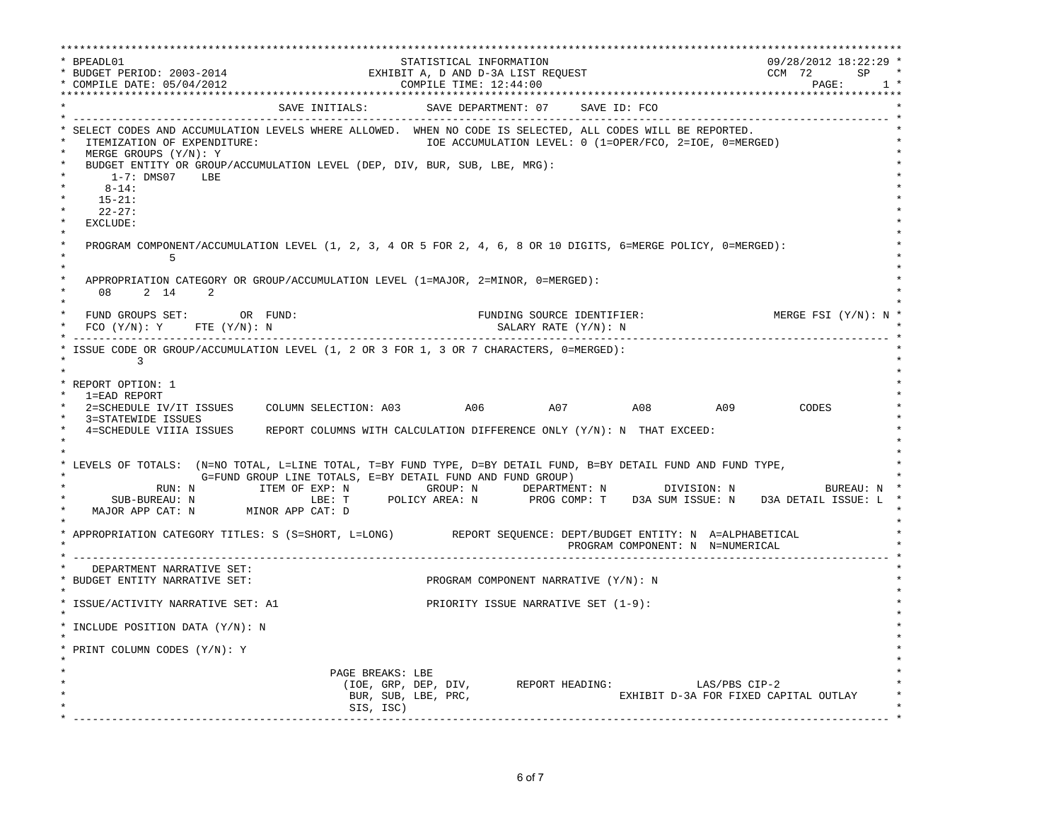\*\*\*\*\*\*\*\*\*\*\*\*\*\*\*\*\*\*\*\*\*\*\*\*\*\*\*\*\*\*\*\*\*\*\*\*\*\*\*\*\*\*\*\*\*\*\*\*\*\*\*\*\*\*\*\*\*\*\*\*\*\*\*\*\*\*\*\*\*\*\*\*\*\*\*\*\*\*\*\*\*\*\*\*\*\*\*\*\*\*\*\*\*\*\*\*\*\*\*\*\*\*\*\*\*\*\*\*\*\*\*\*\*\*\*\*\*\*\*\*\*\*\*\*\*\*\*\*\*\*\* \* BPEADL01 STATISTICAL INFORMATION 09/28/2012 18:22:29 \* \* BUDGET PERIOD: 2003-2014 EXHIBIT A, D AND D-3A LIST REQUEST CCM 72 SP \* \* COMPILE DATE: 05/04/2012 COMPILE TIME: 12:44:00 PAGE: 1 \* \*\*\*\*\*\*\*\*\*\*\*\*\*\*\*\*\*\*\*\*\*\*\*\*\*\*\*\*\*\*\*\*\*\*\*\*\*\*\*\*\*\*\*\*\*\*\*\*\*\*\*\*\*\*\*\*\*\*\*\*\*\*\*\*\*\*\*\*\*\*\*\*\*\*\*\*\*\*\*\*\*\*\*\*\*\*\*\*\*\*\*\*\*\*\*\*\*\*\*\*\*\*\*\*\*\*\*\*\*\*\*\*\*\*\*\*\*\*\*\*\*\*\*\*\*\*\*\*\*\*\* SAVE INITIALS: SAVE DEPARTMENT: 07 SAVE ID: FCO \* ------------------------------------------------------------------------------------------------------------------------------- \* \* SELECT CODES AND ACCUMULATION LEVELS WHERE ALLOWED. WHEN NO CODE IS SELECTED, ALL CODES WILL BE REPORTED. \* ITEMIZATION OF EXPENDITURE:  $ICUMULATION LEVEL: 0 (1=OPER/FCO, 2=IOE, 0=MERGED)$ MERGE GROUPS (Y/N): Y BUDGET ENTITY OR GROUP/ACCUMULATION LEVEL (DEP, DIV, BUR, SUB, LBE, MRG): \* 1-7: DMS07 LBE \* \* 8-14: \* \* 15-21: \* \* 22-27: \* \* EXCLUDE: \*  $\star$   $\star$ PROGRAM COMPONENT/ACCUMULATION LEVEL (1, 2, 3, 4 OR 5 FOR 2, 4, 6, 8 OR 10 DIGITS, 6=MERGE POLICY, 0=MERGED):<br>5  $\star$  5  $\star$  $\star$   $\star$ APPROPRIATION CATEGORY OR GROUP/ACCUMULATION LEVEL (1=MAJOR, 2=MINOR, 0=MERGED): 08 2 14 2  $\star$   $\star$  \* FUND GROUPS SET: OR FUND: FUNDING SOURCE IDENTIFIER: MERGE FSI (Y/N): N \*  $FCO$  (Y/N): Y FTE (Y/N): N  $SALARY$  RATE (Y/N): N \* ------------------------------------------------------------------------------------------------------------------------------- \* ISSUE CODE OR GROUP/ACCUMULATION LEVEL (1, 2 OR 3 FOR 1, 3 OR 7 CHARACTERS, 0=MERGED):  $\star$  3 \* \* \* REPORT OPTION: 1 \* \* 1=EAD REPORT \*  $2 = SCHEDULE IV/IT ISSUES COLUMN SELECTION: A03 A06 A07 A08 A09 A09 CODES$ 3=STATEWIDE ISSUES 4=SCHEDULE VIIIA ISSUES REPORT COLUMNS WITH CALCULATION DIFFERENCE ONLY (Y/N): N THAT EXCEED:  $\star$  \*  $\star$  \* \* LEVELS OF TOTALS: (N=NO TOTAL, L=LINE TOTAL, T=BY FUND TYPE, D=BY DETAIL FUND, B=BY DETAIL FUND AND FUND TYPE, \* G=FUND GROUP LINE TOTALS, E=BY DETAIL FUND AND FUND GROUP) \* RUN: N ITEM OF EXP: N GROUP: N DEPARTMENT: N DIVISION: N BUREAU: N \* \* SUB-BUREAU: N LBE: T POLICY AREA: N PROG COMP: T D3A SUM ISSUE: N D3A DETAIL ISSUE: L \* MAJOR APP CAT: N MINOR APP CAT: D  $\star$   $\star$  \* APPROPRIATION CATEGORY TITLES: S (S=SHORT, L=LONG) REPORT SEQUENCE: DEPT/BUDGET ENTITY: N A=ALPHABETICAL \* PROGRAM COMPONENT: N N=NUMERICAL \* ------------------------------------------------------------------------------------------------------------------------------- \* DEPARTMENT NARRATIVE SET:<br>BUDGET ENTITY NARRATIVE SET: PROGRAM COMPONENT NARRATIVE (Y/N): N \* \* \* ISSUE/ACTIVITY NARRATIVE SET: A1 PRIORITY ISSUE NARRATIVE SET (1-9): \* \* \* \* INCLUDE POSITION DATA (Y/N): N \* \* \* \* PRINT COLUMN CODES (Y/N): Y \* \* \* \* PAGE BREAKS: LBE \* \* (IOE, GRP, DEP, DIV, REPORT HEADING: LAS/PBS CIP-2 \* BUR, SUB, LBE, PRC, THE SUB, EXHIBIT D-3A FOR FIXED CAPITAL OUTLAY \* SIS, ISC) \* \* ------------------------------------------------------------------------------------------------------------------------------- \*